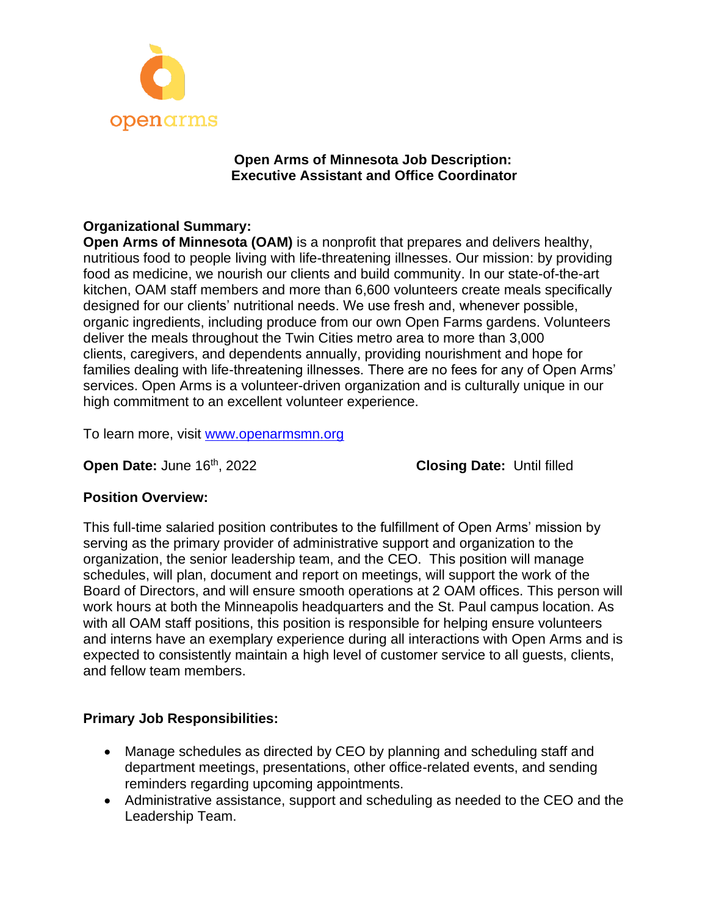

### **Open Arms of Minnesota Job Description: Executive Assistant and Office Coordinator**

# **Organizational Summary:**

**Open Arms of Minnesota (OAM)** is a nonprofit that prepares and delivers healthy, nutritious food to people living with life-threatening illnesses. Our mission: by providing food as medicine, we nourish our clients and build community. In our state-of-the-art kitchen, OAM staff members and more than 6,600 volunteers create meals specifically designed for our clients' nutritional needs. We use fresh and, whenever possible, organic ingredients, including produce from our own Open Farms gardens. Volunteers deliver the meals throughout the Twin Cities metro area to more than 3,000 clients, caregivers, and dependents annually, providing nourishment and hope for families dealing with life-threatening illnesses. There are no fees for any of Open Arms' services. Open Arms is a volunteer-driven organization and is culturally unique in our high commitment to an excellent volunteer experience.

To learn more, visit [www.openarmsmn.org](http://www.openarmsmn.org/)

**Open Date: June 16th, 2022** 

**Closing Date: Until filled** 

#### **Position Overview:**

This full-time salaried position contributes to the fulfillment of Open Arms' mission by serving as the primary provider of administrative support and organization to the organization, the senior leadership team, and the CEO. This position will manage schedules, will plan, document and report on meetings, will support the work of the Board of Directors, and will ensure smooth operations at 2 OAM offices. This person will work hours at both the Minneapolis headquarters and the St. Paul campus location. As with all OAM staff positions, this position is responsible for helping ensure volunteers and interns have an exemplary experience during all interactions with Open Arms and is expected to consistently maintain a high level of customer service to all guests, clients, and fellow team members.

# **Primary Job Responsibilities:**

- Manage schedules as directed by CEO by planning and scheduling staff and department meetings, presentations, other office-related events, and sending reminders regarding upcoming appointments.
- Administrative assistance, support and scheduling as needed to the CEO and the Leadership Team.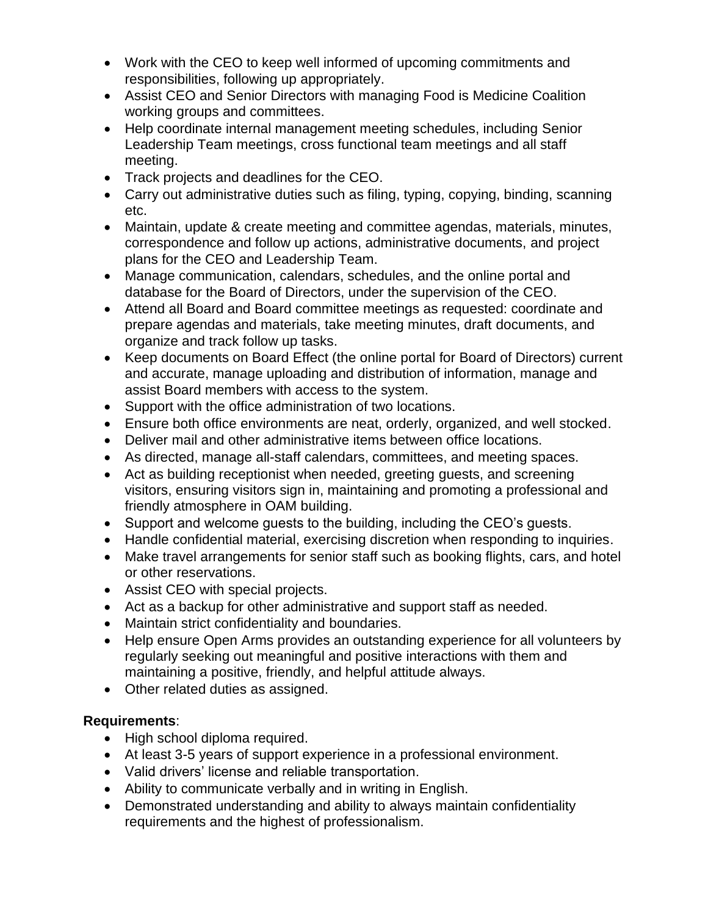- Work with the CEO to keep well informed of upcoming commitments and responsibilities, following up appropriately.
- Assist CEO and Senior Directors with managing Food is Medicine Coalition working groups and committees.
- Help coordinate internal management meeting schedules, including Senior Leadership Team meetings, cross functional team meetings and all staff meeting.
- Track projects and deadlines for the CEO.
- Carry out administrative duties such as filing, typing, copying, binding, scanning etc.
- Maintain, update & create meeting and committee agendas, materials, minutes, correspondence and follow up actions, administrative documents, and project plans for the CEO and Leadership Team.
- Manage communication, calendars, schedules, and the online portal and database for the Board of Directors, under the supervision of the CEO.
- Attend all Board and Board committee meetings as requested: coordinate and prepare agendas and materials, take meeting minutes, draft documents, and organize and track follow up tasks.
- Keep documents on Board Effect (the online portal for Board of Directors) current and accurate, manage uploading and distribution of information, manage and assist Board members with access to the system.
- Support with the office administration of two locations.
- Ensure both office environments are neat, orderly, organized, and well stocked.
- Deliver mail and other administrative items between office locations.
- As directed, manage all-staff calendars, committees, and meeting spaces.
- Act as building receptionist when needed, greeting guests, and screening visitors, ensuring visitors sign in, maintaining and promoting a professional and friendly atmosphere in OAM building.
- Support and welcome guests to the building, including the CEO's guests.
- Handle confidential material, exercising discretion when responding to inquiries.
- Make travel arrangements for senior staff such as booking flights, cars, and hotel or other reservations.
- Assist CEO with special projects.
- Act as a backup for other administrative and support staff as needed.
- Maintain strict confidentiality and boundaries.
- Help ensure Open Arms provides an outstanding experience for all volunteers by regularly seeking out meaningful and positive interactions with them and maintaining a positive, friendly, and helpful attitude always.
- Other related duties as assigned.

# **Requirements**:

- High school diploma required.
- At least 3-5 years of support experience in a professional environment.
- Valid drivers' license and reliable transportation.
- Ability to communicate verbally and in writing in English.
- Demonstrated understanding and ability to always maintain confidentiality requirements and the highest of professionalism.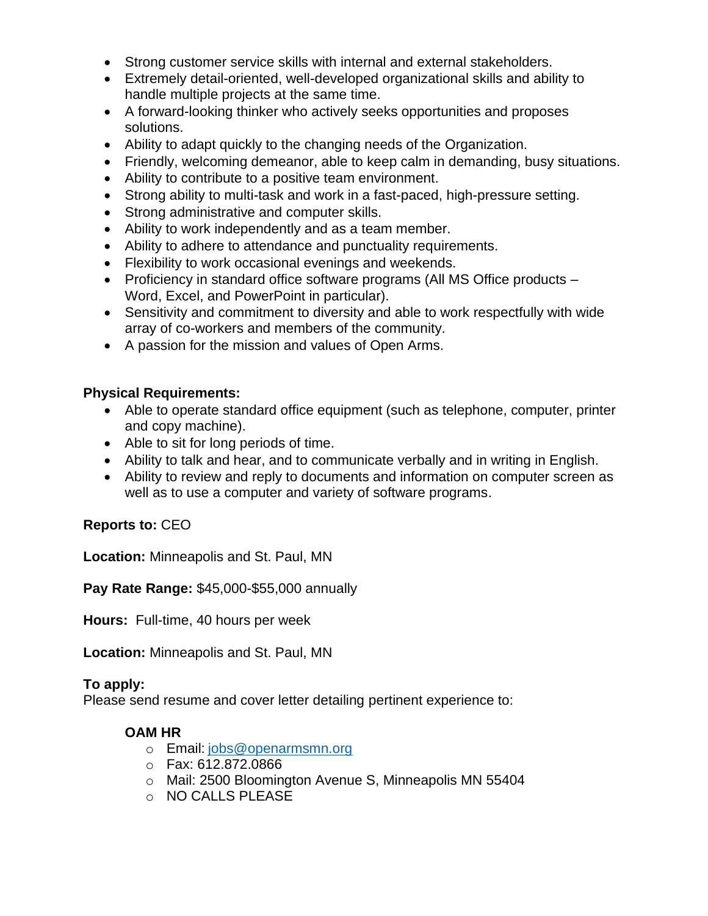- Strong customer service skills with internal and external stakeholders.
- Extremely detail-oriented, well-developed organizational skills and ability to handle multiple projects at the same time.
- A forward-looking thinker who actively seeks opportunities and proposes solutions.
- Ability to adapt quickly to the changing needs of the Organization.
- Friendly, welcoming demeanor, able to keep calm in demanding, busy situations.
- Ability to contribute to a positive team environment.
- Strong ability to multi-task and work in a fast-paced, high-pressure setting.
- Strong administrative and computer skills.
- Ability to work independently and as a team member.
- Ability to adhere to attendance and punctuality requirements.
- Flexibility to work occasional evenings and weekends.
- Proficiency in standard office software programs (All MS Office products Word, Excel, and PowerPoint in particular).
- Sensitivity and commitment to diversity and able to work respectfully with wide array of co-workers and members of the community.
- A passion for the mission and values of Open Arms.

### **Physical Requirements:**

- Able to operate standard office equipment (such as telephone, computer, printer and copy machine).
- Able to sit for long periods of time.
- Ability to talk and hear, and to communicate verbally and in writing in English.
- Ability to review and reply to documents and information on computer screen as well as to use a computer and variety of software programs.

# **Reports to:** CEO

**Location:** Minneapolis and St. Paul, MN

**Pay Rate Range:** \$45,000-\$55,000 annually

**Hours:** Full-time, 40 hours per week

**Location:** Minneapolis and St. Paul, MN

#### **To apply:**

Please send resume and cover letter detailing pertinent experience to:

#### **OAM HR**

- o Email: [jobs@openarmsmn.org](mailto:jobs@openarmsmn.org)
- o Fax: 612.872.0866
- o Mail: 2500 Bloomington Avenue S, Minneapolis MN 55404
- o NO CALLS PLEASE